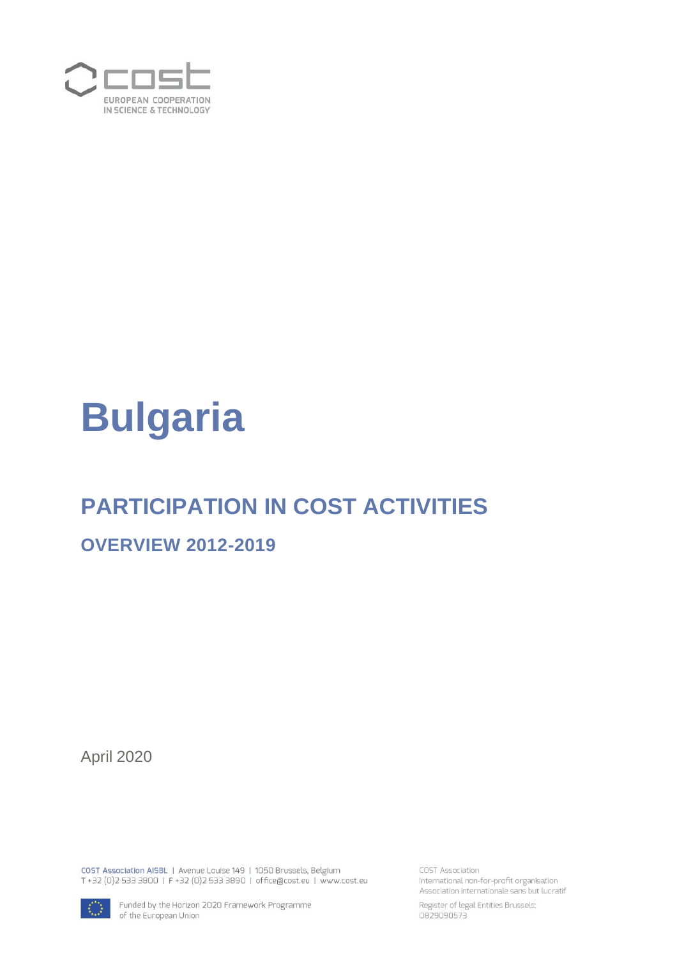

# **Bulgaria**

# **PARTICIPATION IN COST ACTIVITIES**

#### **OVERVIEW 2012-2019**

April 2020

COST Association AISBL | Avenue Louise 149 | 1050 Brussels, Belgium<br>T +32 (0)2 533 3800 | F +32 (0)2 533 3890 | office@cost.eu | www.cost.eu

Funded by the Horizon 2020 Framework Programme of the European Union

COST Association International non-for-profit organisation Association internationale sans but lucratif

Register of legal Entities Brussels:<br>0829090573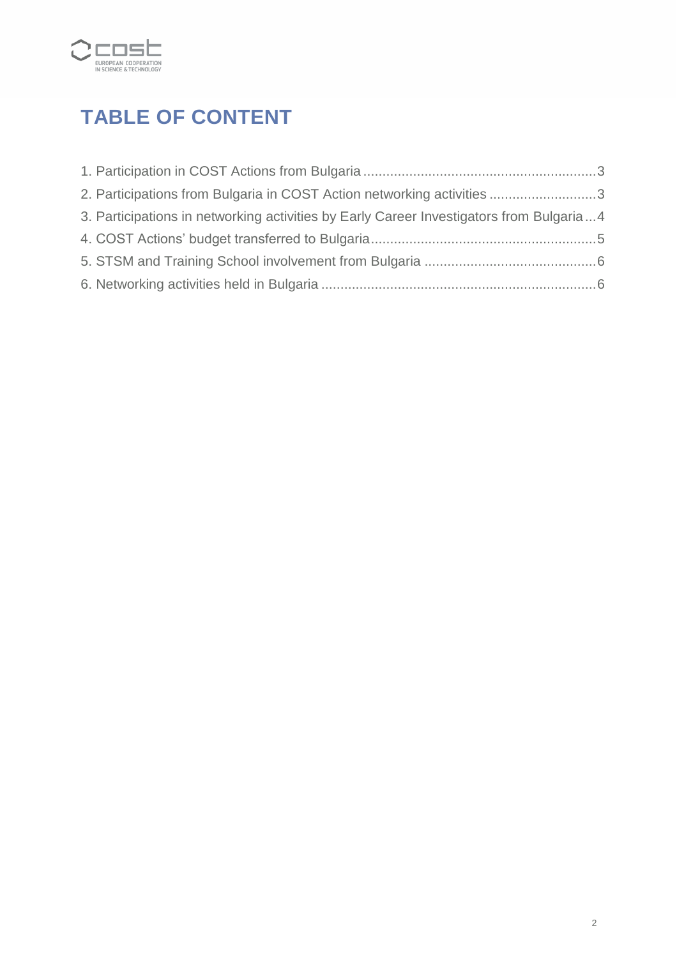

# **TABLE OF CONTENT**

| 2. Participations from Bulgaria in COST Action networking activities 3                  |  |
|-----------------------------------------------------------------------------------------|--|
| 3. Participations in networking activities by Early Career Investigators from Bulgaria4 |  |
|                                                                                         |  |
|                                                                                         |  |
|                                                                                         |  |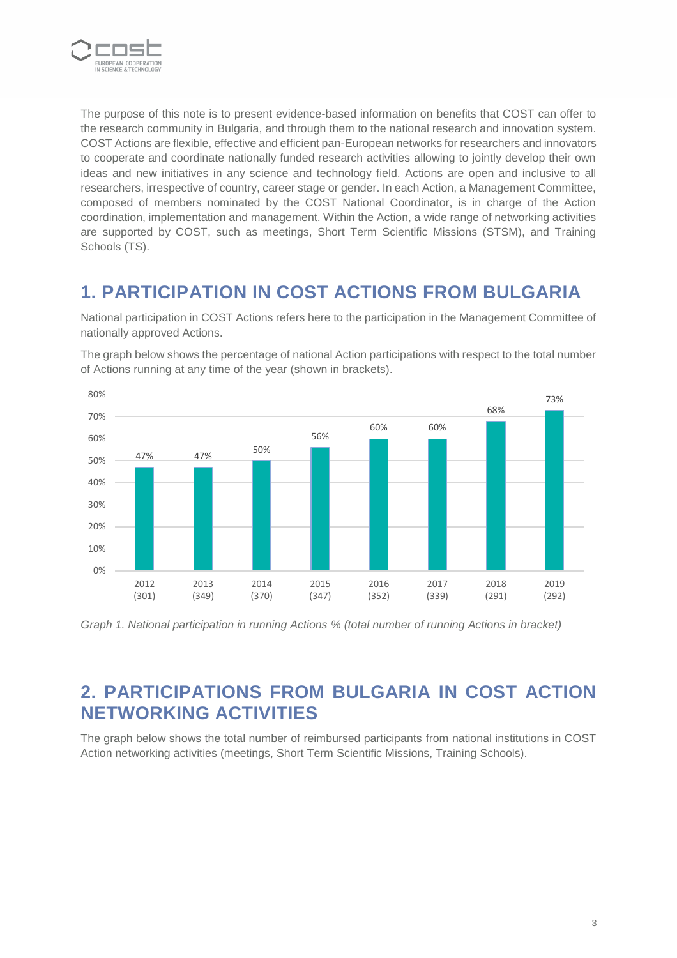

The purpose of this note is to present evidence-based information on benefits that COST can offer to the research community in Bulgaria, and through them to the national research and innovation system. COST Actions are flexible, effective and efficient pan-European networks for researchers and innovators to cooperate and coordinate nationally funded research activities allowing to jointly develop their own ideas and new initiatives in any science and technology field. Actions are open and inclusive to all researchers, irrespective of country, career stage or gender. In each Action, a Management Committee, composed of members nominated by the COST National Coordinator, is in charge of the Action coordination, implementation and management. Within the Action, a wide range of networking activities are supported by COST, such as meetings, Short Term Scientific Missions (STSM), and Training Schools (TS).

#### **1. PARTICIPATION IN COST ACTIONS FROM BULGARIA**

National participation in COST Actions refers here to the participation in the Management Committee of nationally approved Actions.

The graph below shows the percentage of national Action participations with respect to the total number of Actions running at any time of the year (shown in brackets).



*Graph 1. National participation in running Actions % (total number of running Actions in bracket)*

#### **2. PARTICIPATIONS FROM BULGARIA IN COST ACTION NETWORKING ACTIVITIES**

The graph below shows the total number of reimbursed participants from national institutions in COST Action networking activities (meetings, Short Term Scientific Missions, Training Schools).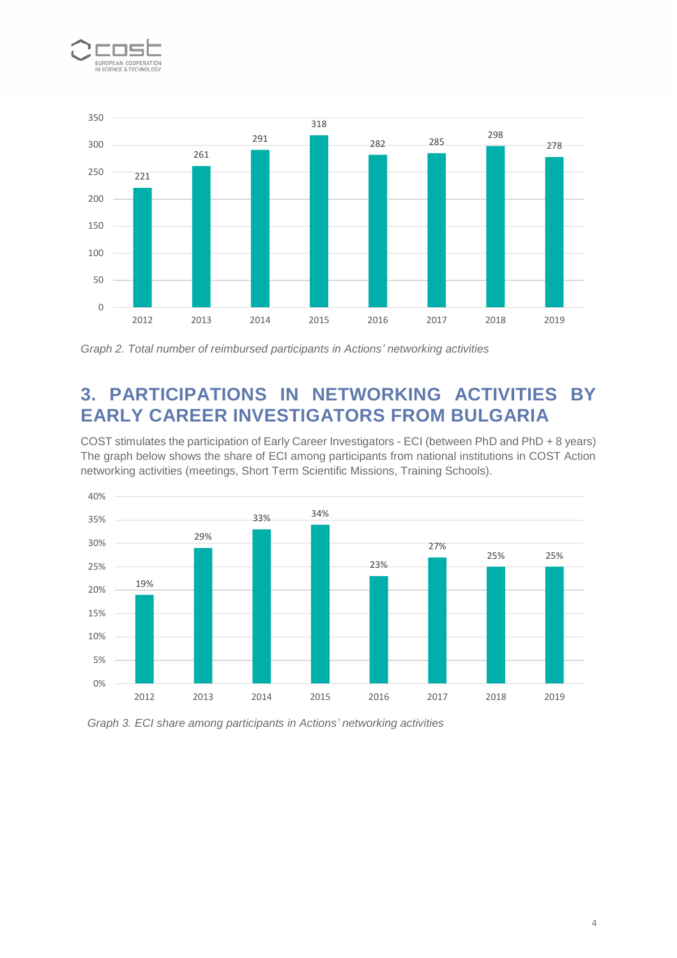



*Graph 2. Total number of reimbursed participants in Actions' networking activities*

# **3. PARTICIPATIONS IN NETWORKING ACTIVITIES BY EARLY CAREER INVESTIGATORS FROM BULGARIA**

COST stimulates the participation of Early Career Investigators - ECI (between PhD and PhD + 8 years) The graph below shows the share of ECI among participants from national institutions in COST Action networking activities (meetings, Short Term Scientific Missions, Training Schools).



*Graph 3. ECI share among participants in Actions' networking activities*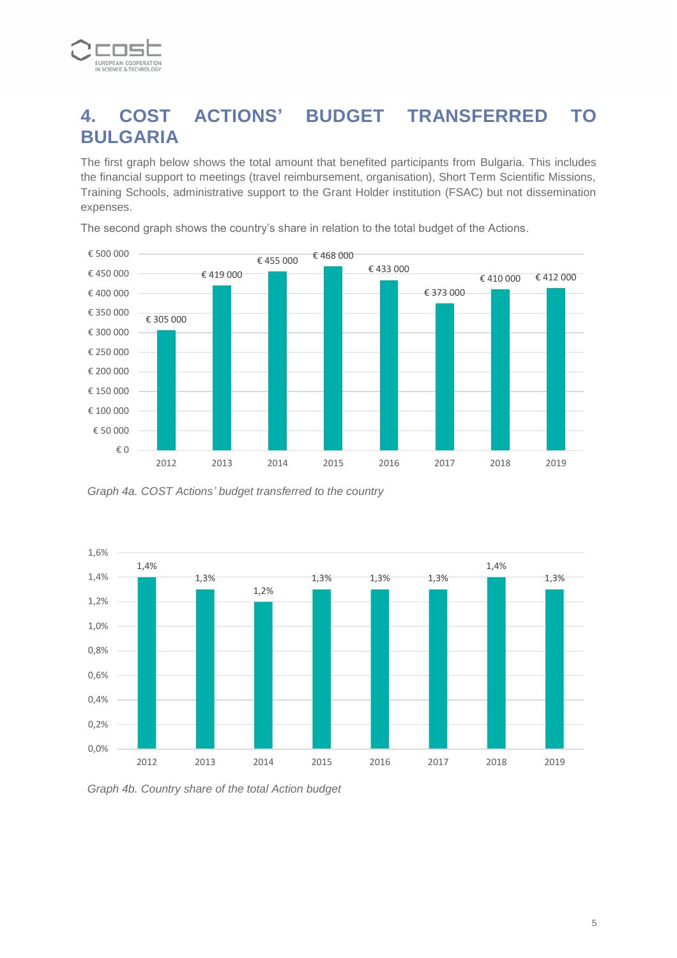

## **4. COST ACTIONS' BUDGET TRANSFERRED TO BULGARIA**

The first graph below shows the total amount that benefited participants from Bulgaria. This includes the financial support to meetings (travel reimbursement, organisation), Short Term Scientific Missions, Training Schools, administrative support to the Grant Holder institution (FSAC) but not dissemination expenses.



The second graph shows the country's share in relation to the total budget of the Actions.

*Graph 4a. COST Actions' budget transferred to the country*



*Graph 4b. Country share of the total Action budget*